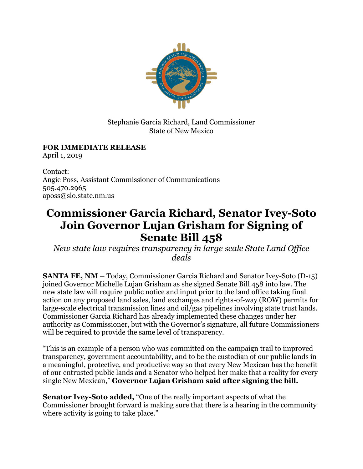

Stephanie Garcia Richard, Land Commissioner State of New Mexico

## **FOR IMMEDIATE RELEASE**

April 1, 2019

Contact: Angie Poss, Assistant Commissioner of Communications 505.470.2965 aposs@slo.state.nm.us

## **Commissioner Garcia Richard, Senator Ivey-Soto Join Governor Lujan Grisham for Signing of Senate Bill 458**

*New state law requires transparency in large scale State Land Office deals*

**SANTA FE, NM –** Today, Commissioner Garcia Richard and Senator Ivey-Soto (D-15) joined Governor Michelle Lujan Grisham as she signed Senate Bill 458 into law. The new state law will require public notice and input prior to the land office taking final action on any proposed land sales, land exchanges and rights-of-way (ROW) permits for large-scale electrical transmission lines and oil/gas pipelines involving state trust lands. Commissioner Garcia Richard has already implemented these changes under her authority as Commissioner, but with the Governor's signature, all future Commissioners will be required to provide the same level of transparency.

"This is an example of a person who was committed on the campaign trail to improved transparency, government accountability, and to be the custodian of our public lands in a meaningful, protective, and productive way so that every New Mexican has the benefit of our entrusted public lands and a Senator who helped her make that a reality for every single New Mexican," **Governor Lujan Grisham said after signing the bill.**

**Senator Ivey-Soto added,** "One of the really important aspects of what the Commissioner brought forward is making sure that there is a hearing in the community where activity is going to take place."